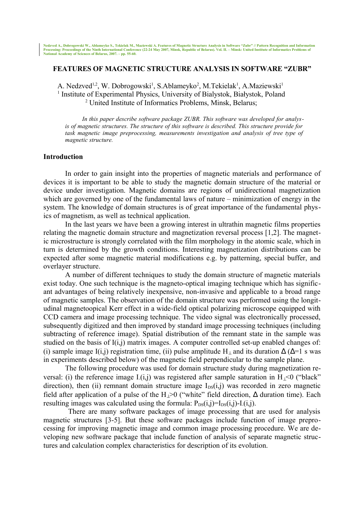### **FEATURES OF MAGNETIC STRUCTURE ANALYSIS IN SOFTWARE "ZUBR"**

A. Nedzved<sup>1,2</sup>, W. Dobrogowski<sup>1</sup>, S.Ablameyko<sup>2</sup>, M.Tekielak<sup>1</sup>, A.Maziewski<sup>1</sup> <sup>1</sup> Institute of Experimental Physics, University of Bialystok, Białystok, Poland <sup>2</sup> United Institute of Informatics Problems, Minsk, Belarus;

*In this paper describe software package ZUBR. This software was developed for analysis of magnetic structures. The structure of this software is described. This structure provide for task magnetic image preprocessing, measurements investigation and analysis of tree type of magnetic structure.*

### **Introduction**

In order to gain insight into the properties of magnetic materials and performance of devices it is important to be able to study the magnetic domain structure of the material or device under investigation. Magnetic domains are regions of unidirectional magnetization which are governed by one of the fundamental laws of nature – minimization of energy in the system. The knowledge of domain structures is of great importance of the fundamental physics of magnetism, as well as technical application.

In the last years we have been a growing interest in ultrathin magnetic films properties relating the magnetic domain structure and magnetization reversal process [1,2]. The magnetic microstructure is strongly correlated with the film morphology in the atomic scale, which in turn is determined by the growth conditions. Interesting magnetization distributions can be expected after some magnetic material modifications e.g. by patterning, special buffer, and overlayer structure.

A number of different techniques to study the domain structure of magnetic materials exist today. One such technique is the magneto-optical imaging technique which has significant advantages of being relatively inexpensive, non-invasive and applicable to a broad range of magnetic samples. The observation of the domain structure was performed using the longitudinal magnetoopical Kerr effect in a wide-field optical polarizing microscope equipped with CCD camera and image processing technique. The video signal was electronically processed, subsequently digitized and then improved by standard image processing techniques (including subtracting of reference image). Spatial distribution of the remnant state in the sample was studied on the basis of I(i,j) matrix images. A computer controlled set-up enabled changes of: (i) sample image I(i,j) registration time, (ii) pulse amplitude H<sub>⊥</sub> and its duration  $\Delta$  ( $\Delta$ =1 s was in experiments described below) of the magnetic field perpendicular to the sample plane.

The following procedure was used for domain structure study during magnetization reversal: (i) the reference image  $I(i,j)$  was registered after sample saturation in  $H<sub>1</sub><0$  ("black" direction), then (ii) remnant domain structure image  $I_{DS}(i,j)$  was recorded in zero magnetic field after application of a pulse of the H<sub>⊥</sub>>0 ("white" field direction,  $\Delta$  duration time). Each resulting images was calculated using the formula:  $P_{DS}(i,j)=I_{DS}(i,j)-I(i,j)$ .

 There are many software packages of image processing that are used for analysis magnetic structures [3-5]. But these software packages include function of image preprocessing for improving magnetic image and common image processing procedure. We are developing new software package that include function of analysis of separate magnetic structures and calculation complex characteristics for description of its evolution.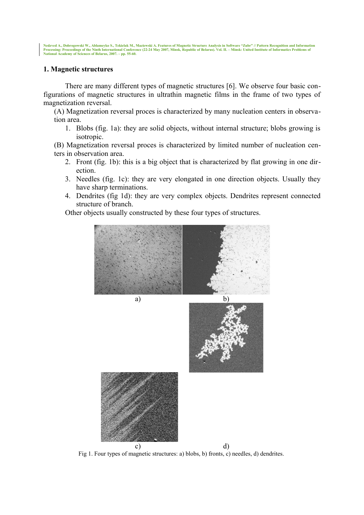Nedzved A., Dobrogowski W., Ablameyko S., Tekielak M., Maziewski A. Features of Magnetic Structure Analysis in Software "Zubr" // Pattern Recognition and Information<br>Processing: Proceedings of the Ninth International Confe

### **1. Magnetic structures**

There are many different types of magnetic structures [6]. We observe four basic configurations of magnetic structures in ultrathin magnetic films in the frame of two types of magnetization reversal.

(A) Magnetization reversal proces is characterized by many nucleation centers in observation area.

1. Blobs (fig. 1a): they are solid objects, without internal structure; blobs growing is isotropic.

(B) Magnetization reversal proces is characterized by limited number of nucleation centers in observation area.

- 2. Front (fig. 1b): this is a big object that is characterized by flat growing in one direction.
- 3. Needles (fig. 1c): they are very elongated in one direction objects. Usually they have sharp terminations.
- 4. Dendrites (fig 1d): they are very complex objects. Dendrites represent connected structure of branch.

Other objects usually constructed by these four types of structures.



Fig 1. Four types of magnetic structures: a) blobs, b) fronts, c) needles, d) dendrites.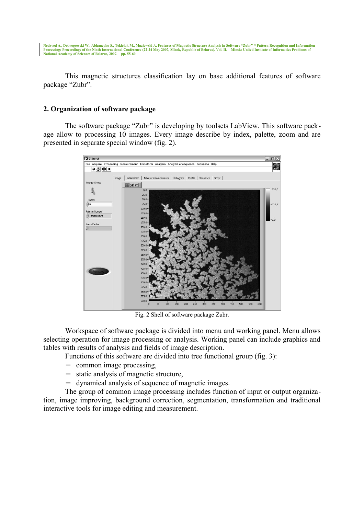Nedzved A., Dobrogowski W., Ablameyko S., Tekielak M., Maziewski A. Features of Magnetic Structure Analysis in Software "Zubr" // Pattern Recognition and Information<br>Processing: Proceedings of the Ninth International Confe

This magnetic structures classification lay on base additional features of software package "Zubr".

### **2. Organization of software package**

The software package "Zubr" is developing by toolsets LabView. This software package allow to processing 10 images. Every image describe by index, palette, zoom and are presented in separate special window (fig. 2).



Fig. 2 Shell of software package Zubr.

Workspace of software package is divided into menu and working panel. Menu allows selecting operation for image processing or analysis. Working panel can include graphics and tables with results of analysis and fields of image description.

Functions of this software are divided into tree functional group (fig. 3):

- − common image processing,
- − static analysis of magnetic structure,
- − dynamical analysis of sequence of magnetic images.

The group of common image processing includes function of input or output organization, image improving, background correction, segmentation, transformation and traditional interactive tools for image editing and measurement.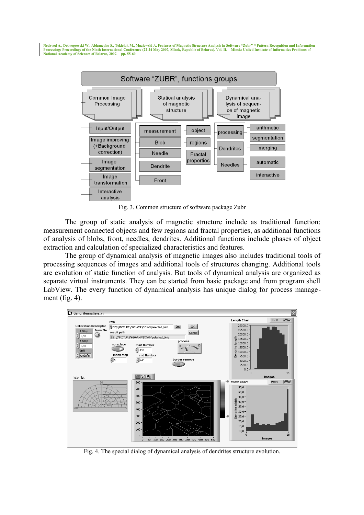**Nedzved A., Dobrogowski W., Ablameyko S., Tekielak M., Maziewski A. Features of Magnetic Structure Analysis in Software "Zubr" // Pattern Recognition and Information Processing: Proceedings of the Ninth International Conference (22-24 May 2007, Minsk, Republic of Belarus). Vol. II. – Minsk: United Institute of Informatics Problems of National Academy of Sciences of Belarus, 2007. – pp. 55-60.**



Fig. 3. Common structure of software package Zubr

The group of static analysis of magnetic structure include as traditional function: measurement connected objects and few regions and fractal properties, as additional functions of analysis of blobs, front, needles, dendrites. Additional functions include phases of object extraction and calculation of specialized characteristics and features.

The group of dynamical analysis of magnetic images also includes traditional tools of processing sequences of images and additional tools of structures changing. Additional tools are evolution of static function of analysis. But tools of dynamical analysis are organized as separate virtual instruments. They can be started from basic package and from program shell LabView. The every function of dynamical analysis has unique dialog for process management (fig. 4).



Fig. 4. The special dialog of dynamical analysis of dendrites structure evolution.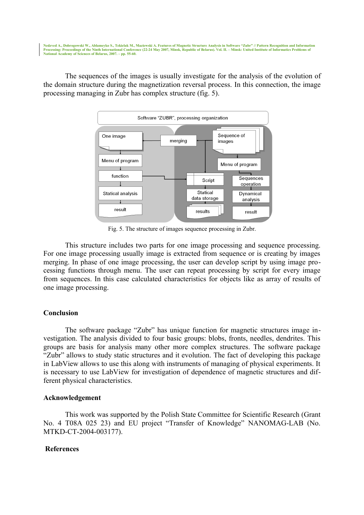Nedzved A., Dobrogowski W., Ablameyko S., Tekielak M., Maziewski A. Features of Magnetic Structure Analysis in Software "Zubr" // Pattern Recognition and Information<br>Processing: Proceedings of the Ninth International Confe **National Academy of Sciences of Belarus, 2007. – pp. 55-60.**

The sequences of the images is usually investigate for the analysis of the evolution of the domain structure during the magnetization reversal process. In this connection, the image processing managing in Zubr has complex structure (fig. 5).



Fig. 5. The structure of images sequence processing in Zubr.

This structure includes two parts for one image processing and sequence processing. For one image processing usually image is extracted from sequence or is creating by images merging. In phase of one image processing, the user can develop script by using image processing functions through menu. The user can repeat processing by script for every image from sequences. In this case calculated characteristics for objects like as array of results of one image processing.

# **Conclusion**

The software package "Zubr" has unique function for magnetic structures image investigation. The analysis divided to four basic groups: blobs, fronts, needles, dendrites. This groups are basis for analysis many other more complex structures. The software package "Zubr" allows to study static structures and it evolution. The fact of developing this package in LabView allows to use this along with instruments of managing of physical experiments. It is necessary to use LabView for investigation of dependence of magnetic structures and different physical characteristics.

# **Acknowledgement**

This work was supported by the Polish State Committee for Scientific Research (Grant No. 4 T08A 025 23) and EU project "Transfer of Knowledge" NANOMAG-LAB (No. MTKD-CT-2004-003177).

# **References**